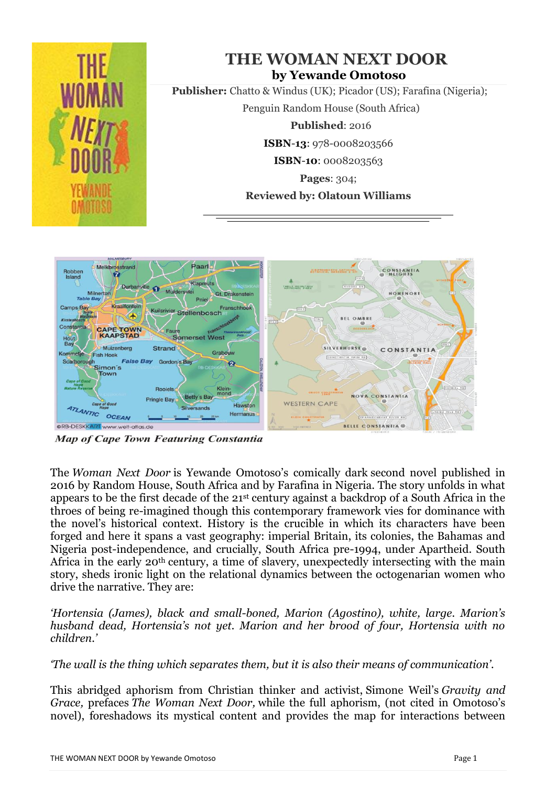

**Map of Cape Town Featuring Constantia** 

The *Woman Next Door* is Yewande Omotoso's comically dark second novel published in 2016 by Random House, South Africa and by Farafina in Nigeria. The story unfolds in what appears to be the first decade of the 21st century against a backdrop of a South Africa in the throes of being re-imagined though this contemporary framework vies for dominance with the novel's historical context. History is the crucible in which its characters have been forged and here it spans a vast geography: imperial Britain, its colonies, the Bahamas and Nigeria post-independence, and crucially, South Africa pre-1994, under Apartheid. South Africa in the early 20th century, a time of slavery, unexpectedly intersecting with the main story, sheds ironic light on the relational dynamics between the octogenarian women who drive the narrative. They are:

*'Hortensia (James), black and small-boned, Marion (Agostino), white, large. Marion's husband dead, Hortensia's not yet. Marion and her brood of four, Hortensia with no children.'*

*'The wall is the thing which separates them, but it is also their means of communication'.*

This abridged aphorism from Christian thinker and activist, Simone Weil's *Gravity and Grace,* prefaces *The Woman Next Door,* while the full aphorism, (not cited in Omotoso's novel), foreshadows its mystical content and provides the map for interactions between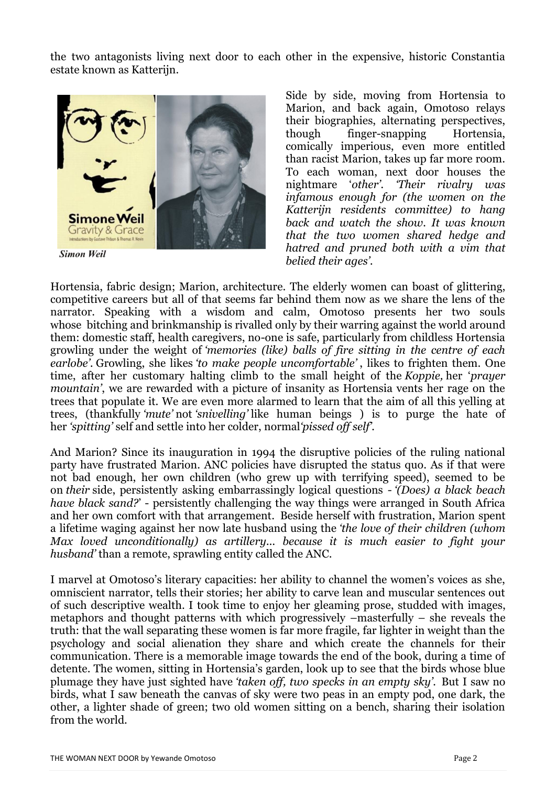the two antagonists living next door to each other in the expensive, historic Constantia estate known as Katterijn.



**Simon Weil** 

Side by side, moving from Hortensia to Marion, and back again, Omotoso relays their biographies, alternating perspectives, though finger-snapping Hortensia, comically imperious, even more entitled than racist Marion, takes up far more room. To each woman, next door houses the nightmare '*other'. 'Their rivalry was infamous enough for (the women on the Katterijn residents committee) to hang back and watch the show. It was known that the two women shared hedge and hatred and pruned both with a vim that belied their ages'.*

Hortensia, fabric design; Marion, architecture. The elderly women can boast of glittering, competitive careers but all of that seems far behind them now as we share the lens of the narrator. Speaking with a wisdom and calm, Omotoso presents her two souls whose bitching and brinkmanship is rivalled only by their warring against the world around them: domestic staff, health caregivers, no-one is safe, particularly from childless Hortensia growling under the weight of *'memories (like) balls of fire sitting in the centre of each earlobe'.* Growling, she likes *'to make people uncomfortable'* , likes to frighten them. One time, after her customary halting climb to the small height of the *Koppie,* her '*prayer mountain'*, we are rewarded with a picture of insanity as Hortensia vents her rage on the trees that populate it. We are even more alarmed to learn that the aim of all this yelling at trees, (thankfully *'mute'* not *'snivelling'* like human beings ) is to purge the hate of her *'spitting'* self and settle into her colder, normal*'pissed off self'.*

And Marion? Since its inauguration in 1994 the disruptive policies of the ruling national party have frustrated Marion. ANC policies have disrupted the status quo. As if that were not bad enough, her own children (who grew up with terrifying speed), seemed to be on *their* side, persistently asking embarrassingly logical questions - *'(Does) a black beach have black sand?*' - persistently challenging the way things were arranged in South Africa and her own comfort with that arrangement. Beside herself with frustration, Marion spent a lifetime waging against her now late husband using the *'the love of their children (whom Max loved unconditionally) as artillery... because it is much easier to fight your husband'* than a remote, sprawling entity called the ANC.

I marvel at Omotoso's literary capacities: her ability to channel the women's voices as she, omniscient narrator, tells their stories; her ability to carve lean and muscular sentences out of such descriptive wealth. I took time to enjoy her gleaming prose, studded with images, metaphors and thought patterns with which progressively –masterfully – she reveals the truth: that the wall separating these women is far more fragile, far lighter in weight than the psychology and social alienation they share and which create the channels for their communication. There is a memorable image towards the end of the book, during a time of detente. The women, sitting in Hortensia's garden, look up to see that the birds whose blue plumage they have just sighted have *'taken off, two specks in an empty sky'.* But I saw no birds, what I saw beneath the canvas of sky were two peas in an empty pod, one dark, the other, a lighter shade of green; two old women sitting on a bench, sharing their isolation from the world.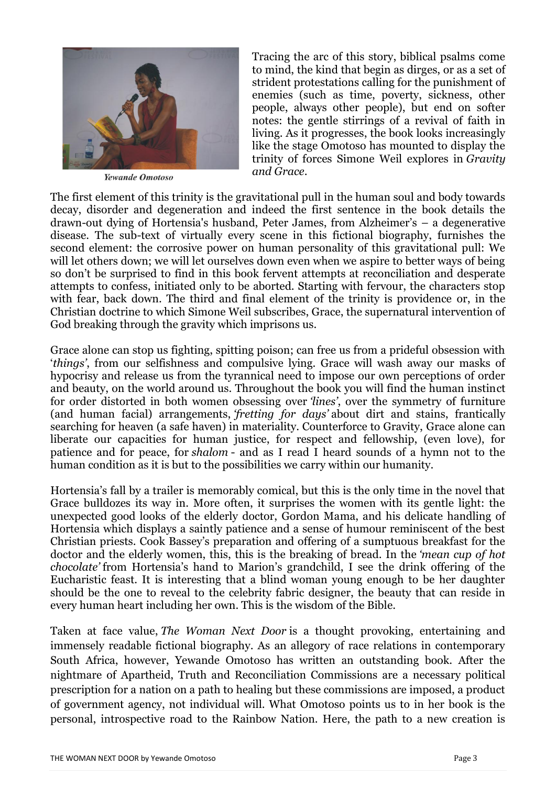

Yewande Omotoso

Tracing the arc of this story, biblical psalms come to mind, the kind that begin as dirges, or as a set of strident protestations calling for the punishment of enemies (such as time, poverty, sickness, other people, always other people), but end on softer notes: the gentle stirrings of a revival of faith in living. As it progresses, the book looks increasingly like the stage Omotoso has mounted to display the trinity of forces Simone Weil explores in *Gravity and Grace*.

The first element of this trinity is the gravitational pull in the human soul and body towards decay, disorder and degeneration and indeed the first sentence in the book details the drawn-out dying of Hortensia's husband, Peter James, from Alzheimer's – a degenerative disease. The sub-text of virtually every scene in this fictional biography, furnishes the second element: the corrosive power on human personality of this gravitational pull: We will let others down; we will let ourselves down even when we aspire to better ways of being so don't be surprised to find in this book fervent attempts at reconciliation and desperate attempts to confess, initiated only to be aborted. Starting with fervour, the characters stop with fear, back down. The third and final element of the trinity is providence or, in the Christian doctrine to which Simone Weil subscribes, Grace, the supernatural intervention of God breaking through the gravity which imprisons us.

Grace alone can stop us fighting, spitting poison; can free us from a prideful obsession with '*things'*, from our selfishness and compulsive lying. Grace will wash away our masks of hypocrisy and release us from the tyrannical need to impose our own perceptions of order and beauty, on the world around us. Throughout the book you will find the human instinct for order distorted in both women obsessing over *'lines'*, over the symmetry of furniture (and human facial) arrangements, *'fretting for days'* about dirt and stains, frantically searching for heaven (a safe haven) in materiality. Counterforce to Gravity, Grace alone can liberate our capacities for human justice, for respect and fellowship, (even love), for patience and for peace, for *shalom* - and as I read I heard sounds of a hymn not to the human condition as it is but to the possibilities we carry within our humanity.

Hortensia's fall by a trailer is memorably comical, but this is the only time in the novel that Grace bulldozes its way in. More often, it surprises the women with its gentle light: the unexpected good looks of the elderly doctor, Gordon Mama, and his delicate handling of Hortensia which displays a saintly patience and a sense of humour reminiscent of the best Christian priests. Cook Bassey's preparation and offering of a sumptuous breakfast for the doctor and the elderly women, this, this is the breaking of bread. In the *'mean cup of hot chocolate'* from Hortensia's hand to Marion's grandchild, I see the drink offering of the Eucharistic feast. It is interesting that a blind woman young enough to be her daughter should be the one to reveal to the celebrity fabric designer, the beauty that can reside in every human heart including her own. This is the wisdom of the Bible.

Taken at face value, *The Woman Next Door* is a thought provoking, entertaining and immensely readable fictional biography. As an allegory of race relations in contemporary South Africa, however, Yewande Omotoso has written an outstanding book. After the nightmare of Apartheid, Truth and Reconciliation Commissions are a necessary political prescription for a nation on a path to healing but these commissions are imposed, a product of government agency, not individual will. What Omotoso points us to in her book is the personal, introspective road to the Rainbow Nation. Here, the path to a new creation is